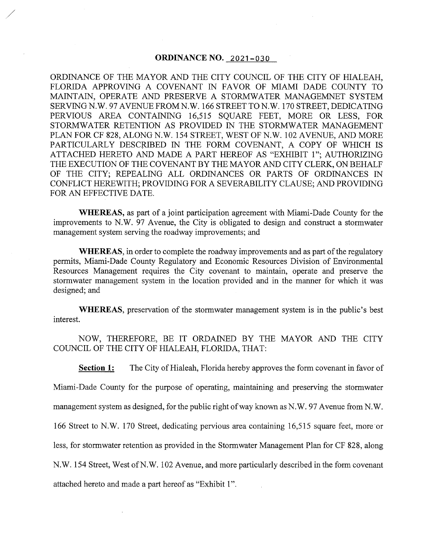# **ORDINANCE NO. 2021-030**

./

ORDINANCE OF THE MAYOR AND THE CITY COUNCIL OF THE CITY OF HIALEAH, FLORIDA APPROVING A COVENANT IN FAVOR OF MIAMI DADE COUNTY TO MAINTAIN, OPERATE AND PRESERVE A STORMWATER MANAGEMNET SYSTEM SERVING N.W. 97 AVENUE FROMN.W. 166 STREET TO N.W. 170 STREET, DEDICATING PERVIOUS AREA CONTAINING 16,515 SQUARE FEET, MORE OR LESS, FOR STORMWATER RETENTION AS PROVIDED IN THE STORMWATER MANAGEMENT PLAN FOR CF 828, ALONG N.W. 154 STREET, WEST OF N.W. 102 AVENUE, AND MORE PARTICULARLY DESCRIBED IN THE FORM COVENANT, A COPY OF WHICH IS ATTACHED HERETO AND MADE A PART HEREOF AS "EXHIBIT l"; AUTHORIZING THE EXECUTION OF THE COVENANT BY THE MAYOR AND CITY CLERK, ON BEHALF OF THE CITY; REPEALING ALL ORDINANCES OR PARTS OF ORDINANCES IN CONFLICT HEREWITH; PROVIDING FOR A SEVERABILITY CLAUSE; AND PROVIDING FOR AN EFFECTIVE DATE.

**WHEREAS,** as part of a joint participation agreement with Miami-Dade County for the improvements to N.W. 97 Avenue, the City is obligated to design and construct a stormwater management system serving the roadway improvements; and

**WHEREAS,** in order to complete the roadway improvements and as part of the regulatory permits, Miami-Dade County Regulatory and Economic Resources Division of Environmental Resources Management requires the City covenant to maintain, operate and preserve the stormwater management system in the location provided and in the manner for which it was designed; and

**WHEREAS,** preservation of the stormwater management system is in the public's best interest.

NOW, THEREFORE, BE IT ORDAINED BY THE MAYOR AND THE CITY COUNCIL OF THE CITY OF HIALEAH, FLORIDA, THAT:

**Section 1:** The City of Hialeah, Florida hereby approves the form covenant in favor of

Miami-Dade County for the purpose of operating, maintaining and preserving the stormwater

management system as designed, for the public right of way known as N.W. 97 Avenue from N.W.

166 Street to N.W. 170 Street, dedicating pervious area containing 16,515 square feet, more or

less, for stormwater retention as provided in the Stormwater Management Plan for CF 828, along

N.W. 154 Street, West of N.W. 102 Avenue, and more particularly described in the form covenant

attached hereto and made a part hereof as "Exhibit 1".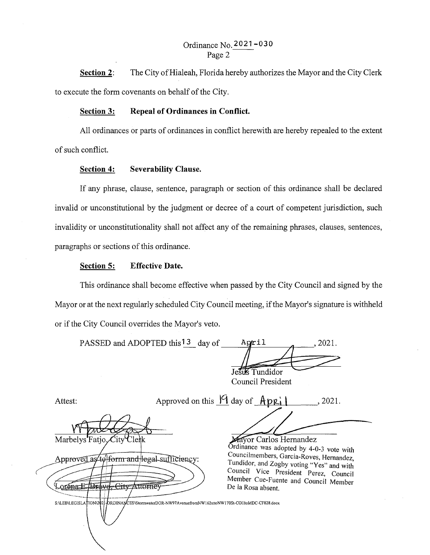# Ordinance No.2021-030 Page 2

**Section 2:**  The City of Hialeah, Florida hereby authorizes the Mayor and the City Clerk to execute the form covenants on behalf of the City.

# **Section 3: Repeal of Ordinances in Conflict.**

All ordinances or parts of ordinances in conflict herewith are hereby repealed to the extent of such conflict.

# **Section 4: Severability Clause.**

If any phrase, clause, sentence, paragraph or section of this ordinance shall be declared invalid or unconstitutional by the judgment or decree of a court of competent jurisdiction, such invalidity or unconstitutionality shall not affect any of the remaining phrases, clauses, sentences, paragraphs or sections of this ordinance.

# **Section 5: Effective Date.**

This ordinance shall become effective when passed by the City Council and signed by the Mayor or at the next regularly scheduled City Council meeting, if the Mayor's signature is withheld or if the City Council overrides the Mayor's veto.

| PASSED and ADOPTED this <sup>13</sup> day of | April                       |  |
|----------------------------------------------|-----------------------------|--|
|                                              |                             |  |
|                                              | Tundidor<br>---<br>.<br>$-$ |  |

.<br>DRDINANCES\StormwaterDOR-NW97AvenuefromNW162sttoNW170St-COHtoMDC-CF828.docx

Council President

Attest:

S:\LEB\LEGISLA`

**IONV** 

Approved on this <u>19</u> day of <u>Apple 1</u>, 2021.

Marbelys Fatio City

Approved as to form and legal sufficiency: orena E. Brave, City Attorne

Ordinance was adopted by 4-0-3 vote with Councilmembers, Garcia-Roves, Hernandez, Tundidor, and Zogby voting "Yes" and with Council Vice President Perez, Council Member Cue-Fuente and Council Member De la Rosa absent.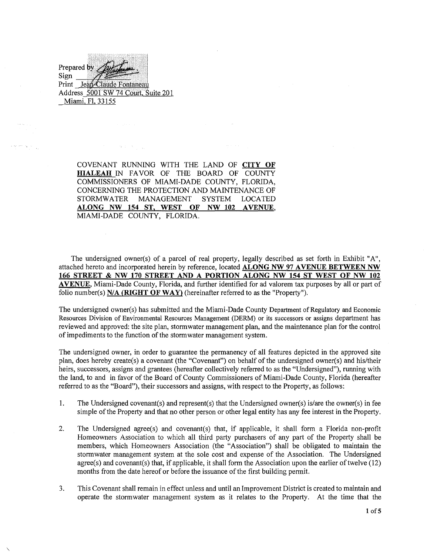Prepared by Sign Print Jean-Claude Fontaneau Address 5001 SW 74 Court, Suite 201 Miami, Fl, 33155

 $\mathcal{A}$  and  $\mathcal{A}$  and  $\mathcal{A}$ 

COVENANT RUNNING WITH THE LAND OF **CITY OF HIALEAH** IN FAVOR OF THE BOARD OF COUNTY COMMISSIONERS OF MIAMI-DADE COUNTY, FLORIDA, CONCERNING THE PROTECTION AND MAINTENANCE OF STORMWATER MANAGEMENT SYSTEM LOCATED **ALONG NW 154 ST, WEST OF NW 102 A VENUE,**  MIAMI-DADE COUNTY, FLORIDA.

The undersigned owner(s) of a parcel of real property, legally described as set forth in Exhibit "A", attached hereto and incorporated herein by reference, located **ALONG NW 97 A VENUE BETWEEN NW 166 STREET & NW 170 STREET AND A PORTION ALONG NW 154 ST WEST OF NW 102 AVENUE,** Miami-Dade County, Florida, and further identified for ad valorem tax purposes by all or part of folio number(s) N/A (RIGHT OF WAY) (hereinafter referred to as the "Property").

The undersigned owner(s) has submitted and the Miami-Dade County Department of Regulatory and Economic Resources Division of Environmental Resources Management (DERM) or its successors or assigns department has reviewed and approved: the site plan, stormwater management plan, and the maintenance plan for the control of impediments to the function of the stormwater management system.

The undersigned owner, in order to guarantee the permanency of all features depicted in the approved site plan, does hereby create(s) a covenant (the "Covenant") on behalf of the undersigned owner(s) and his/their heirs, successors, assigns and grantees (hereafter collectively referred to as the "Undersigned"), running with the land, to and in favor of the Board of County Commissioners of Miami-Dade County, Florida (hereafter referred to as the "Board"), their successors and assigns, with respect to the Property, as follows:

- 1. The Undersigned covenant(s) and represent(s) that the Undersigned owner(s) is/are the owner(s) in fee simple of the Property and that no other person or other legal entity has any fee interest in the Property.
- 2. The Undersigned agree(s) and covenant(s) that, if applicable, it shall form a Florida non-profit Homeowners Association to which all third party purchasers of any part of the Property shall be members, which Homeowners Association (the "Association") shall be obligated to maintain the stormwater management system at the sole cost and expense of the Association. The Undersigned  $agree(s)$  and covenant(s) that, if applicable, it shall form the Association upon the earlier of twelve (12) months from the date hereof or before the issuance of the first building permit.
- 3. This Covenant shall remain in effect unless and until an Improvement District is created to maintain and operate the stormwater management system as it relates to the Property. At the time that the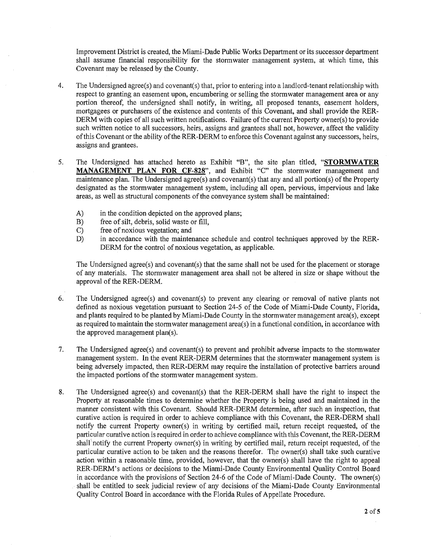Improvement District is created, the Miami-Dade Public Works Department or its successor department shall assume financial responsibility for the stormwater management system, at which time, this Covenant may be released by the County.

- 4. The Undersigned agree(s) and covenant(s) that, prior to entering into a landlord-tenant relationship with respect to granting an easement upon, encumbering or selling the stormwater management area or any portion thereof, the undersigned shall notify, in writing, all proposed tenants, easement holders, mortgagees or purchasers of the existence and contents of this Covenant, and shall provide the RER-DERM with copies of all such written notifications. Failure of the current Property owner(s) to provide such written notice to all successors, heirs, assigns and grantees shall not, however, affect the validity of this Covenant or the ability of the RER-DERM to enforce this Covenant against any successors, heirs, assigns and grantees.
- 5. The Undersigned has attached hereto as Exhibit "B", the site plan titled, **"STORMW ATER MANAGEMENT PLAN FOR CF-828",** and Exhibit "C" the stormwater management and maintenance plan. The Undersigned agree(s) and covenant(s) that any and all portion(s) of the Property designated as the stormwater management system, including all open, pervious, impervious and lake areas, as well as structural components of the conveyance system shall be maintained:
	- A) in the condition depicted on the approved plans;<br>B) free of silt, debris, solid waste or fill,
	- free of silt, debris, solid waste or fill,
	- C) free of noxious vegetation; and<br>D) in accordance with the mainter
	- in accordance with the maintenance schedule and control techniques approved by the RER-DERM for the control of noxious vegetation, as applicable.

The Undersigned agree(s) and covenant(s) that the same shall not be used for the placement or storage of any materials. The stormwater management area shall not be altered in size or shape without the approval of the RER-DERM.

- 6. The Undersigned agree(s) and covenant(s) to prevent any clearing or removal of native plants not defined as noxious vegetation pursuant to Section 24-5 of the Code of Miami-Dade County, Florida, and plants required to be planted by Miami-Dade County in the stormwater management area(s), except as required to maintain the stormwater management area(s) in a functional condition, in accordance with the approved management plan(s).
- 7. The Undersigned agree(s) and covenant(s) to prevent and prohibit adverse impacts to the stormwater management system. In the event RER-DERM determines that the stormwater management system is being adversely impacted, then RER-DERM may require the installation of protective barriers around the impacted portions of the stormwater management system.
- 8. The Undersigned agree(s) and covenant(s) that the RER-DERM shall have the right to inspect the Property at reasonable times to determine whether the Property is being used and maintained in the manner consistent-with this Covenant. Should RER-DERM determine, after such an inspection, that curative action is required in order to achieve compliance with this Covenant, the RER-DERM shall notify the current Property owner(s) in writing by certified mail, return receipt requested, of the particular curative action is required in order to achieve compliance with this Covenant, the RER-DERM sha1I'notify the current Property owner(s) in writing by certified mail, return receipt requested, of the particular curative action to be taken and the reasons therefor. Tbe owner(s) shall take such curative action within a reasonable time, provided, however, that the owner(s) shall have the right to appeal RER-DERM's actions or decisions to the Miami-Dade County Environmental Quality Control Board in accordance with the provisions of Section 24-6 of the Code of Miami-Dade County. The owner(s) . shall be entitled to seek judicial review of any decisions of the Miami-Dade County Environmental Quality Control Board in accordance with the Florida Rules of Appellate Procedure.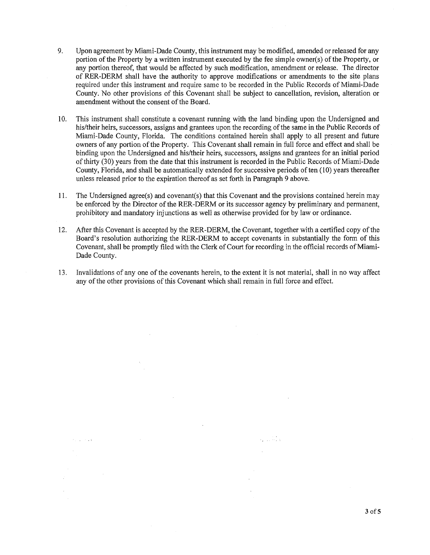- 9. Upon agreement by Miami-Dade County, this instrument may be modified, amended or released for any portion of the Property by a written instrument executed by the fee simple owner(s) of the Property, or any portion thereof, that would be affected by such modification, amendment or release. The director of RER-DERM shall have the authority to approve modifications or amendments to the site plans required under this instrument and require same to be recorded in the Public Records of Miami-Dade County. No other provisions of this Covenant shall be subject to cancellation, revision, alteration or amendment without the consent of the Board.
- 10. This instrument shall constitute a covenant running with the land binding upon the Undersigned and his/their heirs, successors, assigns and grantees upon the recording of the same in the Public Records of Miami-Dade County, Florida. The conditions contained herein shall apply to all present and future owners of any portion of the Property. This Covenant shall remain in full force and effect and shall be binding upon the Undersigned and his/their heirs, successors, assigns and grantees for an initial period of thirty (30) years from the date that this instrument is recorded in the Public Records of Miami-Dade County, Florida, and shall be automatically extended for successive periods of ten (10) years thereafter unless released prior to the expiration thereof as set forth in Paragraph 9 above.
- 11. The Undersigned agree(s) and covenant(s) that this Covenant and the provisions contained herein may be enforced by the Director of the RER-DERM or its successor agency by preliminary and permanent, prohibitory and mandatory injunctions as well as otherwise provided for by law or ordinance.
- 12. After this Covenant is accepted by the RER-DERM, the Covenant, together with a certified copy of the Board's resolution authorizing the RER-DERM to accept covenants in substantially the form of this Covenant, shall be promptly filed with the Clerk of Court for recording in the official records of Miami-Dade County.
- 13. Invalidations of any one of the covenants herein, to the extent it is not material, shall in no way affect any of the other provisions of this Covenant which shall remain in full force and effect.

 $\tau_{\rm c} \approx 0.1$  v

3 of 5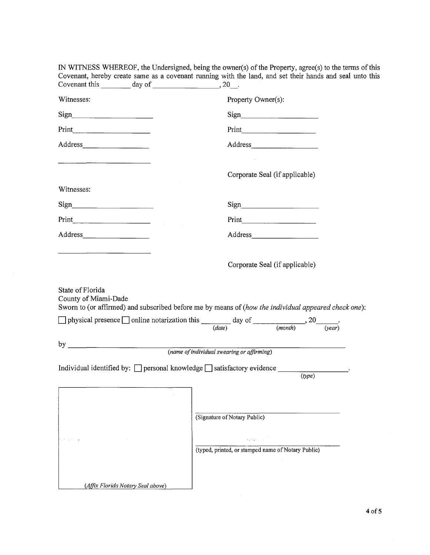| Covenant this $\_\_\_\_\_$ day of $\_\_\_\_\_\_\_$ , 20. | Covenant, hereby create same as a covenant running with the land, and set their hands and seal unto                                    |
|----------------------------------------------------------|----------------------------------------------------------------------------------------------------------------------------------------|
| Witnesses:                                               | Property Owner(s):                                                                                                                     |
|                                                          | $Sign$ and $I$                                                                                                                         |
|                                                          |                                                                                                                                        |
|                                                          |                                                                                                                                        |
|                                                          | Corporate Seal (if applicable)                                                                                                         |
| Witnesses:                                               |                                                                                                                                        |
|                                                          |                                                                                                                                        |
|                                                          | Print                                                                                                                                  |
|                                                          |                                                                                                                                        |
| State of Florida<br>County of Miami-Dade                 | Corporate Seal (if applicable)<br>Sworn to (or affirmed) and subscribed before me by means of (how the individual appeared check one): |
|                                                          | physical presence online notarization this $\frac{1}{(date)}$ day of $\frac{1}{(month)}$ , 20 $\frac{1}{(venth)}$                      |
|                                                          | (name of individual swearing or affirming)                                                                                             |
|                                                          | Individual identified by: $\Box$ personal knowledge $\Box$ satisfactory evidence __________________.<br>(type)                         |
| (Affix Florida Notary Seal above)                        | (Signature of Notary Public)<br>(typed, printed, or stamped name of Notary Public)                                                     |

IN WITNESS WHEREOF, the Undersigned, being the owner(s) of the Property, agree(s) to the terms of this Covenant, hereby create same as a covenant running with the land, and set their hands and seal unto this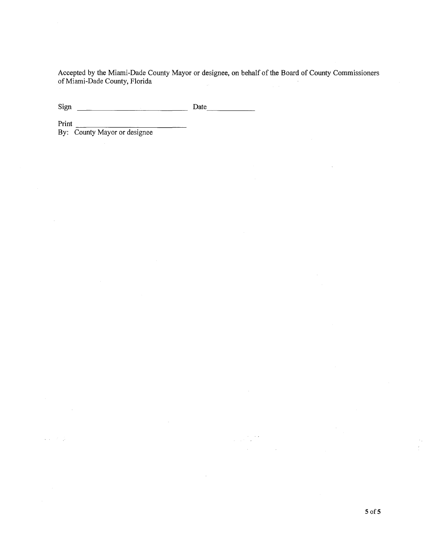Accepted by the Miami-Dade County Mayor or designee, on behalf of the Board of County Commissioners of Miami-Dade County, Florida

 $\label{eq:2} \frac{1}{\sqrt{2\pi}}\frac{1}{\sqrt{2\pi}}\frac{1}{\sqrt{2\pi}}\frac{1}{\sqrt{2\pi}}\frac{1}{\sqrt{2\pi}}\frac{1}{\sqrt{2\pi}}\frac{1}{\sqrt{2\pi}}\frac{1}{\sqrt{2\pi}}\frac{1}{\sqrt{2\pi}}\frac{1}{\sqrt{2\pi}}\frac{1}{\sqrt{2\pi}}\frac{1}{\sqrt{2\pi}}\frac{1}{\sqrt{2\pi}}\frac{1}{\sqrt{2\pi}}\frac{1}{\sqrt{2\pi}}\frac{1}{\sqrt{2\pi}}\frac{1}{\sqrt{2\pi}}\frac{1}{\sqrt{2$ 

Sign Date ------

 $\alpha$  is a set  $\beta$ 

Print <br>By: County Mayor or designee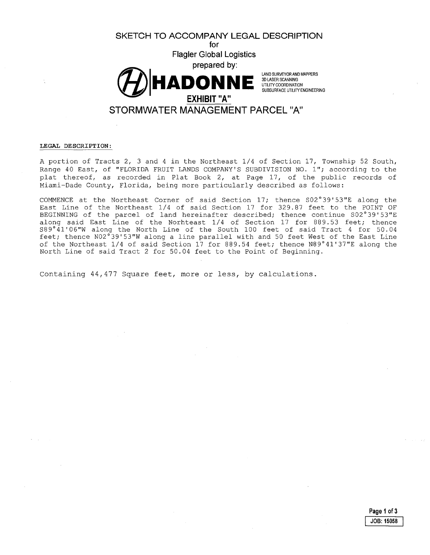

#### **LEGAL DESCRIPTION:**

A portion of Tracts 2, 3 and 4 in the Northeast 1/4 of Section 17, Township 52 South, Range 40 East, of "FLORIDA FRUIT LANDS COMPANY'S SUBDIVISION NO. l"; according to the plat thereof, as recorded in Plat Book 2, at Page 17, of the public records of Miami-Dade County, Florida, being more particularly described as follows:

COMMENCE at the Northeast Corner of said Section 17; thence S02°39'53"E along the East Line of the Northeast  $1/4$  of said Section  $17$  for 329.87 feet to the POINT OF BEGINNING of the parcel of land hereinafter described; thence continue S02°39'53"E along said East Line of the Norhteast 1/4 of Section 17 for 889.53 feet; thence S89°41'06"W along the North Line of the South 100 feet of said Tract 4 for 50.04 feet; thence N02°39'53"W along a line parallel with and 50 feet West of the East Line of the Northeast 1/4 of said Section 17 for 889.54 feet; thence N89°41'37"E along the North Line of said Tract 2 for 50.04 feet to the Point of Beginning.

Containing 44,477 Square feet, more or less, by calculations.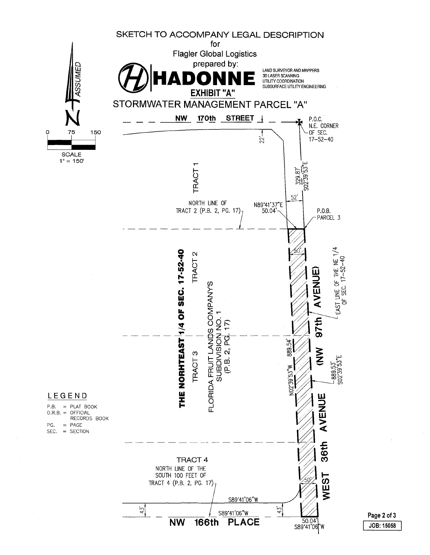

I **JOB: 15058**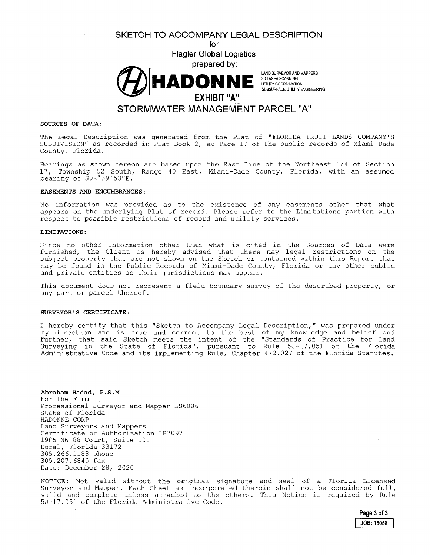**SKETCH TO ACCOMPANY LEGAL DESCRIPTION** 





## **SOURCES OF DATA:**

The Legal Description was generated from the Plat of "FLORIDA FRUIT LANDS COMPANY'S SUBDIVISION" as recorded in Plat Book 2, at Page 17 of the public records of Miami-Dade County, Florida.

Bearings as shown hereon are based upon the East Line of the Northeast 1/4 of Section 17, Township 52 South, Range 40 East, Miami-Dade County, Florida, with an assumed bearing of S02°39'53"E.

#### **EASEMENTS AND ENCUMBRANCES:**

No information was provided as to the existence of any easements other that what appears on the underlying Plat of record. Please refer to the Limitations portion with respect to possible restrictions of record and utility services.

#### **LIMITATIONS:**

Since no other information other than what is cited in the Sources of Data were furnished, the Client is hereby advised that there may legal restrictions on the subject property that are not shown on the Sketch or contained within this Report that may be found in the Public Records of Miami-Dade County, Florida or any other public and private entities as their jurisdictions may appear.

This document does not represent a field boundary survey of the described property, or any part or parcel thereof.

#### **SURVEYOR'S CERTIFICATE:**

I hereby certify that this "Sketch to Accompany Legal Description," was prepared under my direction and is true and correct to the best of my knowledge and belief and further, that said Sketch meets the intent of the "Standards of Practice for Land Surveying in the State of Florida", pursuant to Rule 5J-17.051 of the Florida Administrative Code and its implementing Rule, Chapter 472.027 of the Florida Statutes.

**Abraham Hadad, P.S.M.**  For The Firm Professional Surveyor and Mapper LS6006 State of Florida HADONNE CORP. Land Surveyors and Mappers Certificate of Authorization LB7097 1985 NW 88 Court, Suite 101 Doral, Florida 33172 305.266.1188 phone 305.207.6845 fax Date: December 28, 2020

NOTICE: Not valid without the original signature and seal of a Florida Licensed Surveyor and Mapper. Each Sheet as incorporated therein shall not be considered full, valid and complete unless attached to the others. This Notice is required by Rule 5J-17.051 of the Florida Administrative Code.

**Page 3 of3** 

**JOB: 15058**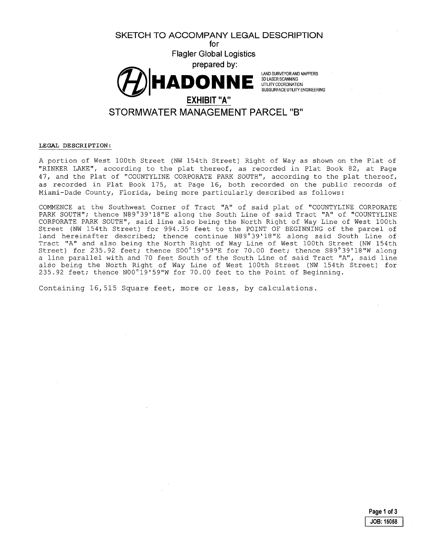**SKETCH TO ACCOMPANY LEGAL DESCRIPTION** 

**for Flagler Global Logistics** 



**3D LASER SCANNING**<br>LITILITY COORDINATION UTILITY COORDINATION<br>SUBSURFACE UTILITY ENGINEERING

# **STORMWATER MANAGEMENT PARCEL 118<sup>11</sup>**

## **LEGAL DESCRIPTION:**

A portion of West lOOth Street (NW 154th Street) Right of Way as shown on the Plat of "RINKER LAKE", according to the plat thereof, as recorded in Plat Book 82, at Page 47, and the Plat of "COUNTYLINE CORPORATE PARK SOUTH", according to the plat thereof, as recorded in Plat Book 175, at Page 16, both recorded on the public records of Miami-Dade County, Florida, being more particularly described as follows:

COMMENCE at the Southwest Corner of Tract "A" of said plat of "COUNTYLINE CORPORATE PARK SOUTH"; thence N89°39'18"E along the South Line of said Tract "A" of "COUNTYLINE CORPORATE PARK SOUTH", said line also being the North Right of Way Line of West 100th Street (NW 154th Street) for 994.35 feet to the POINT OF BEGINNING of the parcel of land hereinafter described; thence continue N89°39'18"E along said South Line of Tract "A" and also being the North Right of Way Line of West lOOth Street (NW 154th Street) for 235.92 feet; thence S00°19'59"E for 70.00 feet; thence S89°39'18"W along a line parallel with and 70 feet South of the South Line of said Tract "A", said line also being the North Right of Way Line of West lOOth Street (NW 154th Street) for 235.92 feet; thence N00°19'59"W for 70.00 feet to the Point of Beginning.

Containing 16,515 Square feet, more or less, by calculations.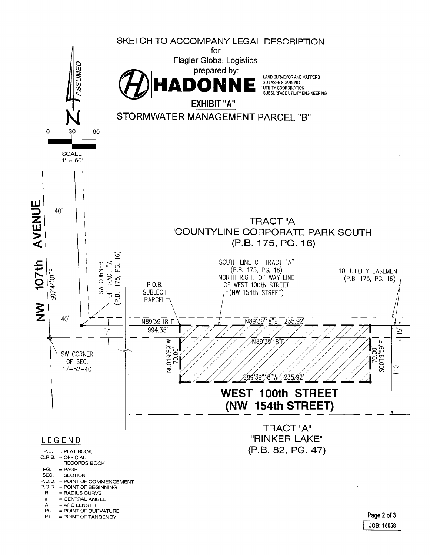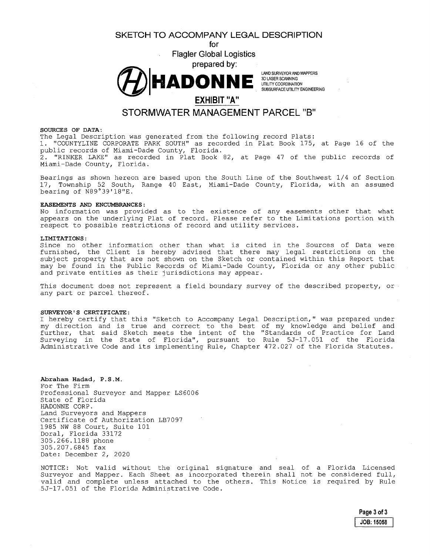**SKETCH TO ACCOMPANY LEGAL DESCRIPTION** 

**for Flagler Global Logistics** 



LAND SURVEYOR AND MAPPERS 3D LASER SCANNING UTILITY COORDINATION SUBSURFACE UTILITY ENGINEERING

# **EXHIBIT "A"**

# **STORMWATER MANAGEMENT PARCEL "B"**

## **SOURCES OF DATA:**

The Legal Description was generated from the following record Plats: 1. "COUNTYLINE CORPORATE PARK SOUTH" as recorded in Plat Book 175, at Page 16 of the public records of Miami-Dade County, Florida. 2. "RINKER LAKE" as recorded in Plat Book 82, at Page 47 of the public records of Miami-Dade County, Florida.

Bearings as shown hereon are based upon the South Line of the Southwest 1/4 of Section 17, Township 52 South, Range 40 East, Miami-Dade County, Florida, with an assumed bearing of N89°39'18"E.

## **EASEMENTS AND ENCUMBRANCES:**

No information was provided as to the existence of any easements other that what appears on the underlying Plat of record. Please refer to the Limitations portion with respect to possible restrictions of record and utility services.

## **LIMITATIONS:**

Since no other information other than what is cited in the Sources of Data were furnished, the Client is hereby advised that there may legal restrictions on the subject property that are not shown on the Sketch or contained within this Report that may be found in the Public Records of Miami-Dade County, Florida or any other public and private entities as their jurisdictions may appear.

This document does not represent a field boundary survey of the described property, or any part or parcel thereof.

## **SURVEYOR'S CERTIFICATE:**

I hereby certify that this "Sketch to Accompany Legal Description," was prepared under my direction and is true and correct to the best of my knowledge and belief and further, that said Sketch meets the intent of the "Standards of Practice for Land Surveying in the State of Florida", pursuant to Rule 5J-17.051 of the Florida Administrative Code and its implementing Rule, Chapter 472.027 of the Florida Statutes.

**Abraham Hadad, P.S.M.**  For The Firm Professional Surveyor and Mapper LS6006 State of Florida HADONNE CORP. Land Surveyors and Mappers Certificate of Authorization LB7097 1985 NW 88 Court, Suite 101 Doral, Florida 33172 305.266.1188 phone 305.207.6845 fax Date: December 2, 2020

NOTICE: Not valid without the original signature and seal of a Florida Licensed Surveyor and Mapper. Each Sheet as incorporated therein shall not be considered full, valid and complete unless attached to the others. This Notice is required by Rule 5J-17.051 of the Florida. Administrative Code.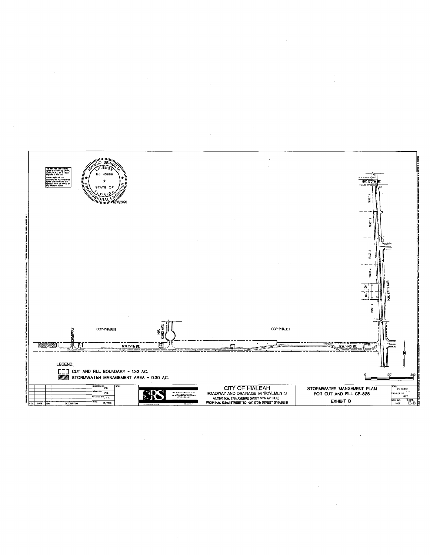